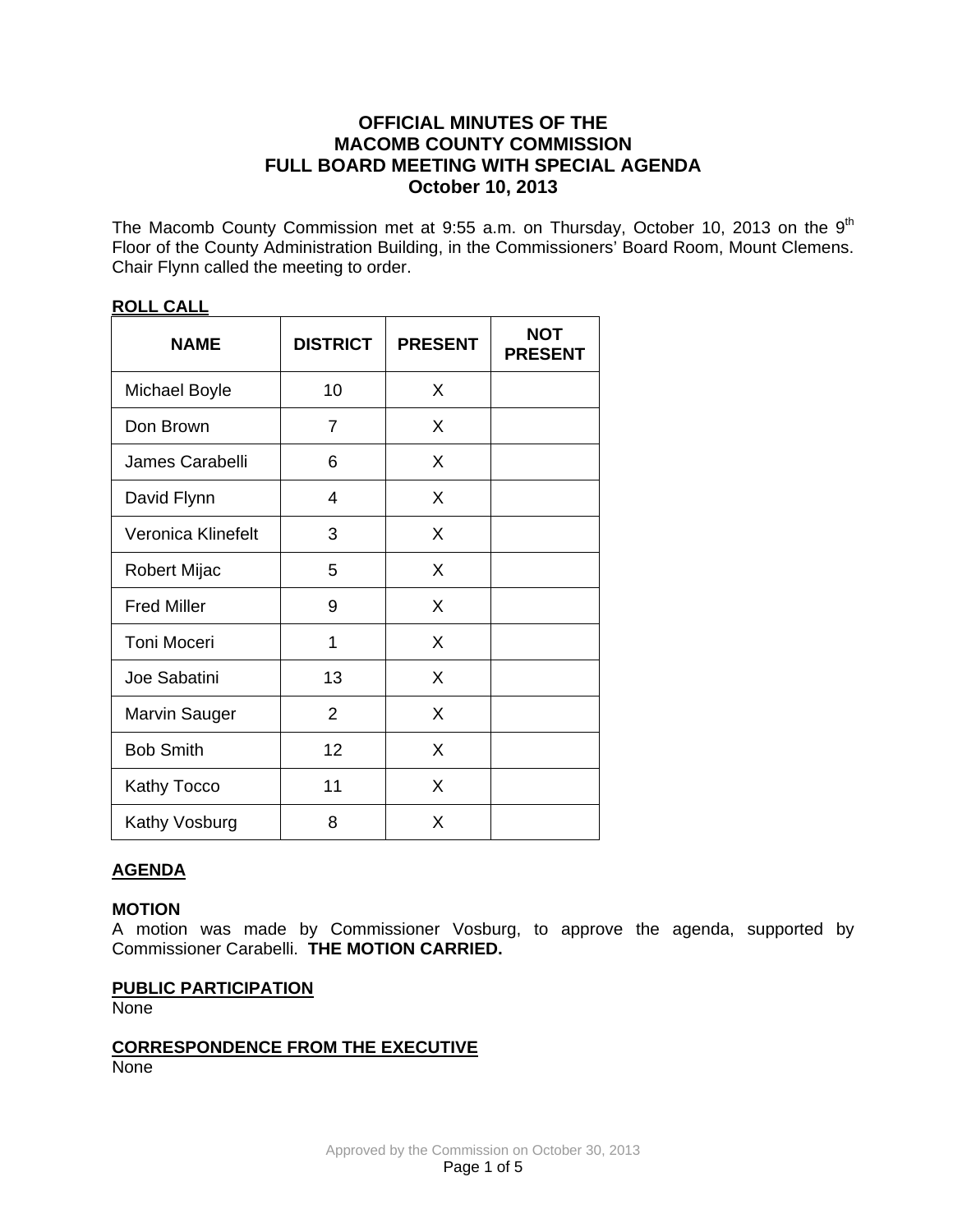# **OFFICIAL MINUTES OF THE MACOMB COUNTY COMMISSION FULL BOARD MEETING WITH SPECIAL AGENDA October 10, 2013**

The Macomb County Commission met at 9:55 a.m. on Thursday, October 10, 2013 on the 9<sup>th</sup> Floor of the County Administration Building, in the Commissioners' Board Room, Mount Clemens. Chair Flynn called the meeting to order.

| <b>NAME</b>          | <b>DISTRICT</b> | <b>PRESENT</b> | <b>NOT</b><br><b>PRESENT</b> |
|----------------------|-----------------|----------------|------------------------------|
| <b>Michael Boyle</b> | 10              | X              |                              |
| Don Brown            | 7               | X              |                              |
| James Carabelli      | 6               | X              |                              |
| David Flynn          | 4               | X              |                              |
| Veronica Klinefelt   | 3               | X              |                              |
| Robert Mijac         | 5               | X              |                              |
| <b>Fred Miller</b>   | 9               | X              |                              |
| <b>Toni Moceri</b>   | 1               | X              |                              |
| Joe Sabatini         | 13              | X              |                              |
| <b>Marvin Sauger</b> | 2               | X              |                              |
| <b>Bob Smith</b>     | 12              | X              |                              |
| Kathy Tocco          | 11              | X              |                              |
| Kathy Vosburg        | 8               | X              |                              |

## **ROLL CALL**

## **AGENDA**

### **MOTION**

A motion was made by Commissioner Vosburg, to approve the agenda, supported by Commissioner Carabelli. **THE MOTION CARRIED.** 

### **PUBLIC PARTICIPATION**

None

**CORRESPONDENCE FROM THE EXECUTIVE** None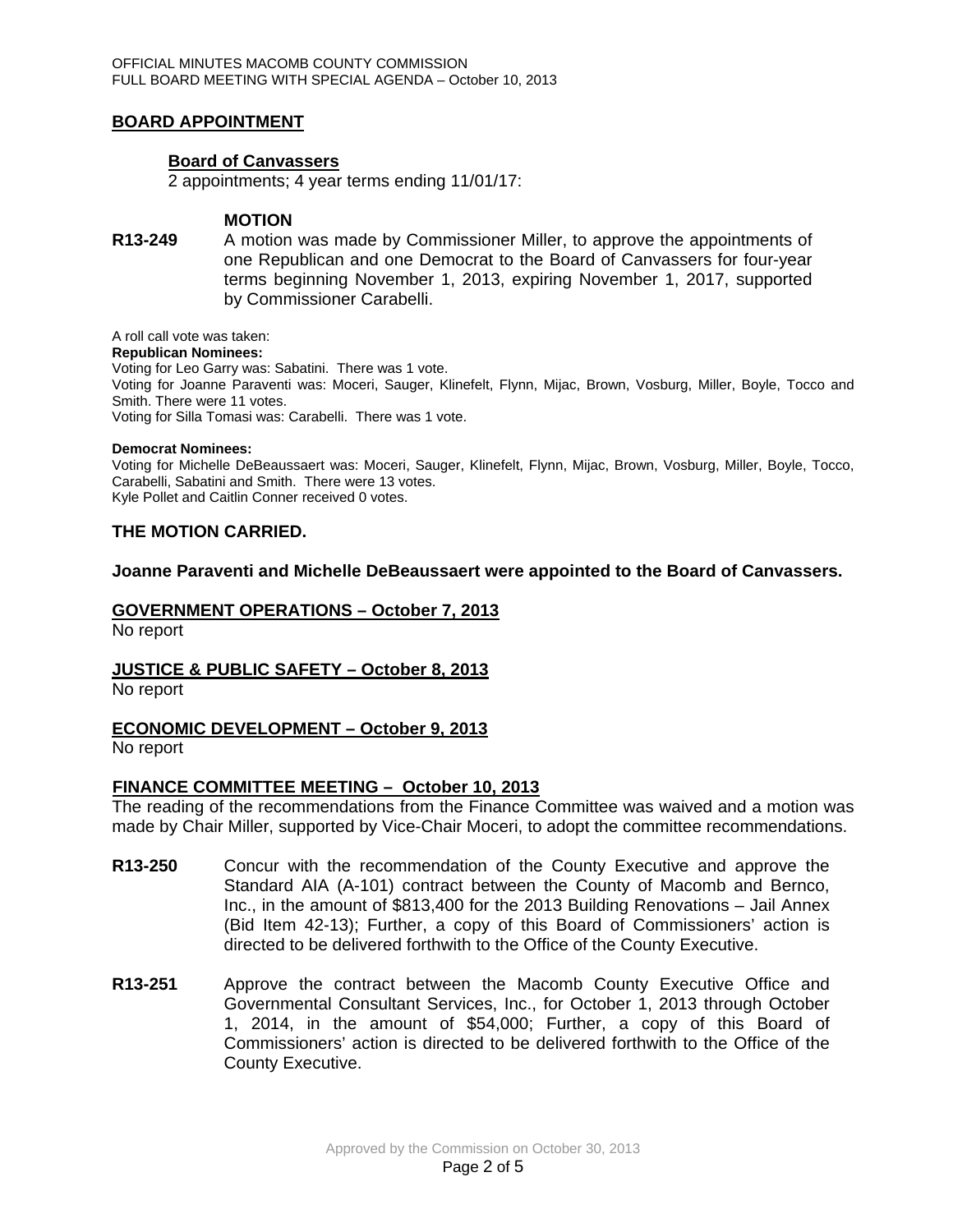## **BOARD APPOINTMENT**

### **Board of Canvassers**

2 appointments; 4 year terms ending 11/01/17:

### **MOTION**

**R13-249** A motion was made by Commissioner Miller, to approve the appointments of one Republican and one Democrat to the Board of Canvassers for four-year terms beginning November 1, 2013, expiring November 1, 2017, supported by Commissioner Carabelli.

#### A roll call vote was taken:

**Republican Nominees:**  Voting for Leo Garry was: Sabatini. There was 1 vote. Voting for Joanne Paraventi was: Moceri, Sauger, Klinefelt, Flynn, Mijac, Brown, Vosburg, Miller, Boyle, Tocco and Smith. There were 11 votes. Voting for Silla Tomasi was: Carabelli. There was 1 vote.

#### **Democrat Nominees:**

Voting for Michelle DeBeaussaert was: Moceri, Sauger, Klinefelt, Flynn, Mijac, Brown, Vosburg, Miller, Boyle, Tocco, Carabelli, Sabatini and Smith. There were 13 votes. Kyle Pollet and Caitlin Conner received 0 votes.

### **THE MOTION CARRIED.**

### **Joanne Paraventi and Michelle DeBeaussaert were appointed to the Board of Canvassers.**

### **GOVERNMENT OPERATIONS – October 7, 2013**

No report

### **JUSTICE & PUBLIC SAFETY – October 8, 2013**

No report

## **ECONOMIC DEVELOPMENT – October 9, 2013**

No report

### **FINANCE COMMITTEE MEETING – October 10, 2013**

The reading of the recommendations from the Finance Committee was waived and a motion was made by Chair Miller, supported by Vice-Chair Moceri, to adopt the committee recommendations.

- **R13-250** Concur with the recommendation of the County Executive and approve the Standard AIA (A-101) contract between the County of Macomb and Bernco, Inc., in the amount of \$813,400 for the 2013 Building Renovations – Jail Annex (Bid Item 42-13); Further, a copy of this Board of Commissioners' action is directed to be delivered forthwith to the Office of the County Executive.
- **R13-251** Approve the contract between the Macomb County Executive Office and Governmental Consultant Services, Inc., for October 1, 2013 through October 1, 2014, in the amount of \$54,000; Further, a copy of this Board of Commissioners' action is directed to be delivered forthwith to the Office of the County Executive.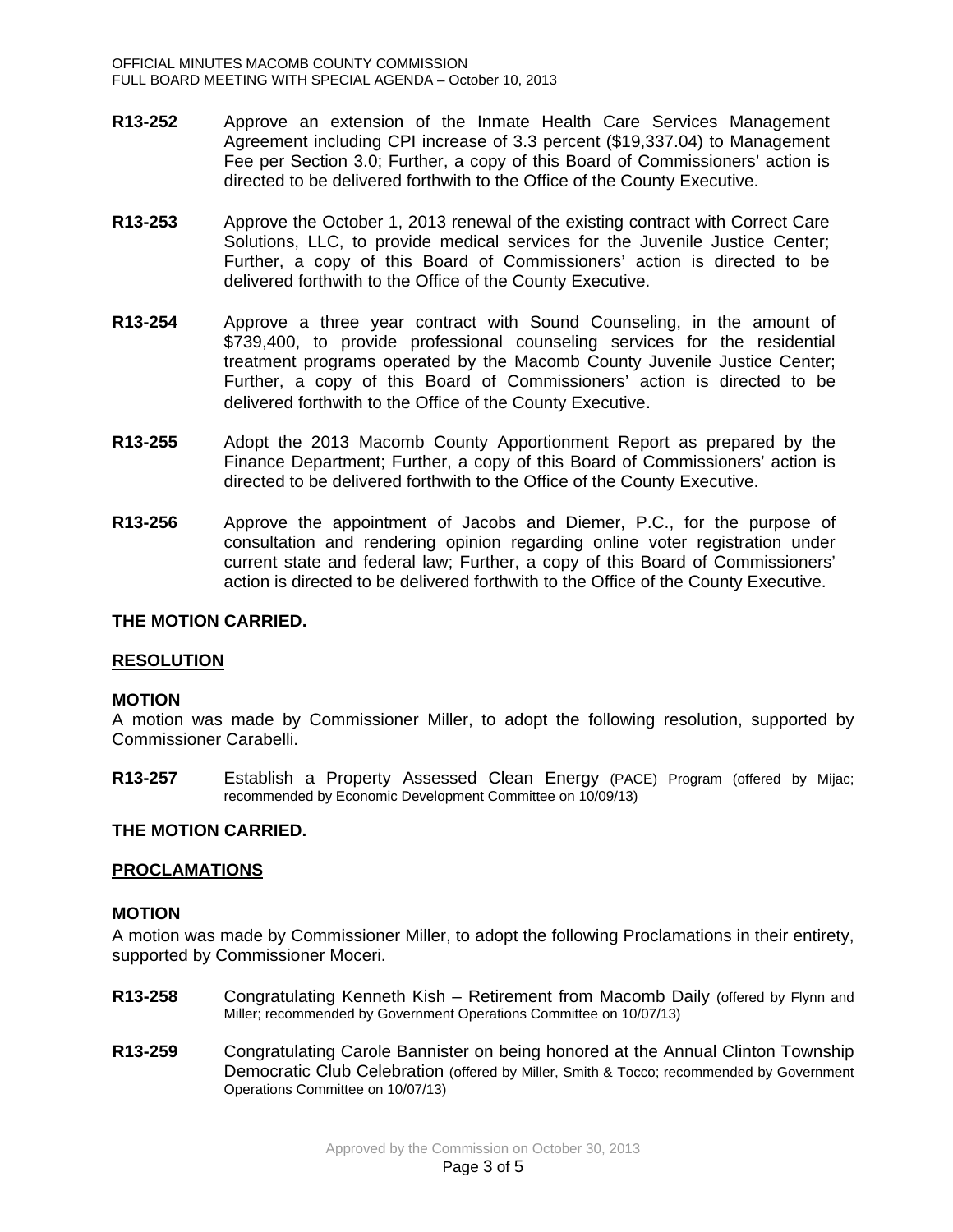- **R13-252** Approve an extension of the Inmate Health Care Services Management Agreement including CPI increase of 3.3 percent (\$19,337.04) to Management Fee per Section 3.0; Further, a copy of this Board of Commissioners' action is directed to be delivered forthwith to the Office of the County Executive.
- **R13-253** Approve the October 1, 2013 renewal of the existing contract with Correct Care Solutions, LLC, to provide medical services for the Juvenile Justice Center; Further, a copy of this Board of Commissioners' action is directed to be delivered forthwith to the Office of the County Executive.
- **R13-254** Approve a three year contract with Sound Counseling, in the amount of \$739,400, to provide professional counseling services for the residential treatment programs operated by the Macomb County Juvenile Justice Center; Further, a copy of this Board of Commissioners' action is directed to be delivered forthwith to the Office of the County Executive.
- **R13-255** Adopt the 2013 Macomb County Apportionment Report as prepared by the Finance Department; Further, a copy of this Board of Commissioners' action is directed to be delivered forthwith to the Office of the County Executive.
- **R13-256** Approve the appointment of Jacobs and Diemer, P.C., for the purpose of consultation and rendering opinion regarding online voter registration under current state and federal law; Further, a copy of this Board of Commissioners' action is directed to be delivered forthwith to the Office of the County Executive.

### **THE MOTION CARRIED.**

## **RESOLUTION**

### **MOTION**

A motion was made by Commissioner Miller, to adopt the following resolution, supported by Commissioner Carabelli.

**R13-257** Establish a Property Assessed Clean Energy (PACE) Program (offered by Mijac; recommended by Economic Development Committee on 10/09/13)

### **THE MOTION CARRIED.**

### **PROCLAMATIONS**

### **MOTION**

A motion was made by Commissioner Miller, to adopt the following Proclamations in their entirety, supported by Commissioner Moceri.

- **R13-258** Congratulating Kenneth Kish Retirement from Macomb Daily (offered by Flynn and Miller; recommended by Government Operations Committee on 10/07/13)
- **R13-259** Congratulating Carole Bannister on being honored at the Annual Clinton Township Democratic Club Celebration (offered by Miller, Smith & Tocco; recommended by Government Operations Committee on 10/07/13)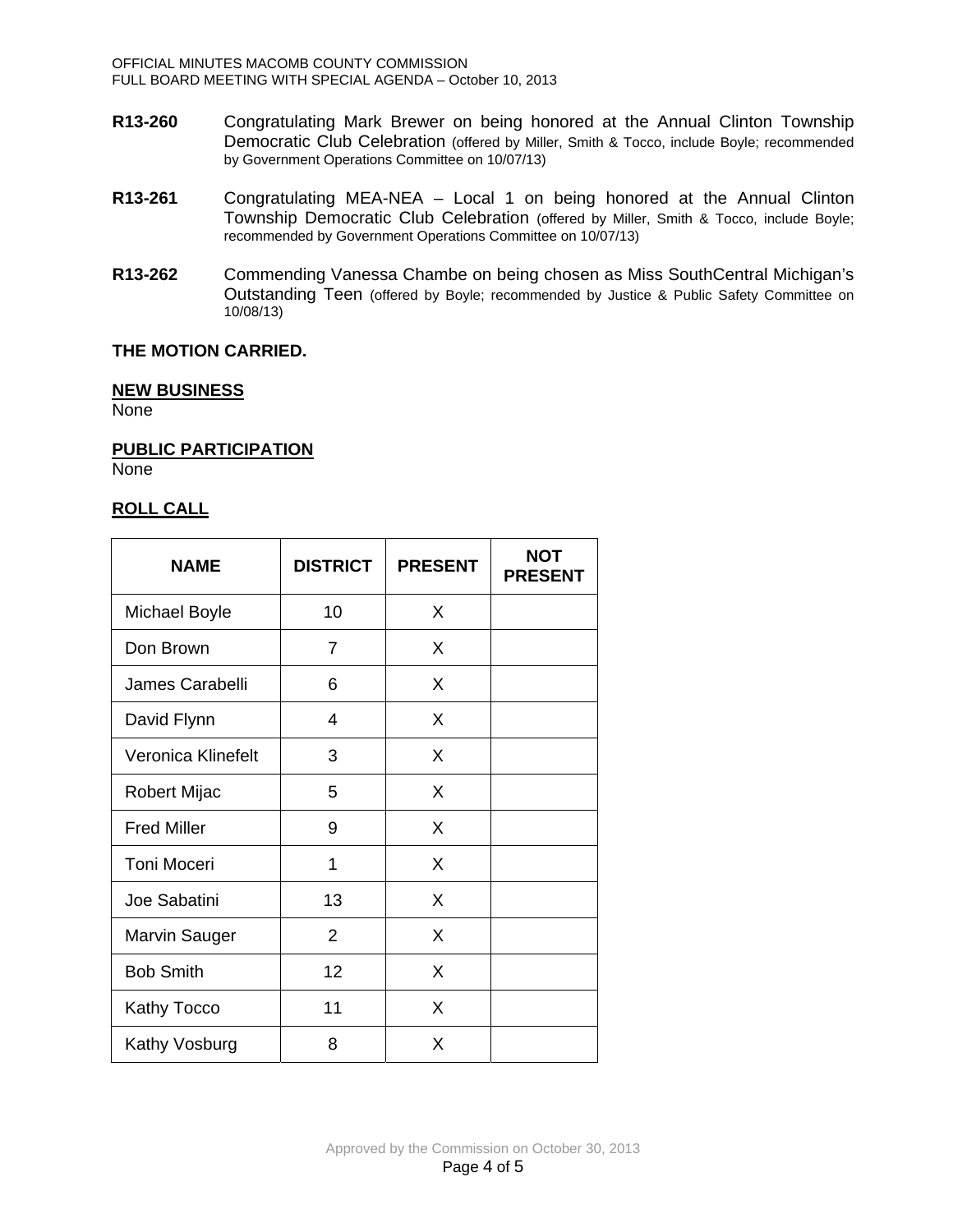- **R13-260** Congratulating Mark Brewer on being honored at the Annual Clinton Township Democratic Club Celebration (offered by Miller, Smith & Tocco, include Boyle; recommended by Government Operations Committee on 10/07/13)
- **R13-261** Congratulating MEA-NEA Local 1 on being honored at the Annual Clinton Township Democratic Club Celebration (offered by Miller, Smith & Tocco, include Boyle; recommended by Government Operations Committee on 10/07/13)
- **R13-262** Commending Vanessa Chambe on being chosen as Miss SouthCentral Michigan's Outstanding Teen (offered by Boyle; recommended by Justice & Public Safety Committee on 10/08/13)

## **THE MOTION CARRIED.**

### **NEW BUSINESS**

None

**PUBLIC PARTICIPATION** None

## **ROLL CALL**

| <b>NAME</b>          | <b>DISTRICT</b> | <b>PRESENT</b> | <b>NOT</b><br><b>PRESENT</b> |
|----------------------|-----------------|----------------|------------------------------|
| Michael Boyle        | 10              | X              |                              |
| Don Brown            | 7               | X              |                              |
| James Carabelli      | 6               | X              |                              |
| David Flynn          | 4               | X              |                              |
| Veronica Klinefelt   | 3               | X              |                              |
| Robert Mijac         | 5               | X              |                              |
| <b>Fred Miller</b>   | 9               | X              |                              |
| <b>Toni Moceri</b>   | 1               | X              |                              |
| Joe Sabatini         | 13              | X              |                              |
| <b>Marvin Sauger</b> | 2               | X              |                              |
| <b>Bob Smith</b>     | 12              | X              |                              |
| Kathy Tocco          | 11              | X              |                              |
| Kathy Vosburg        | 8               | X              |                              |